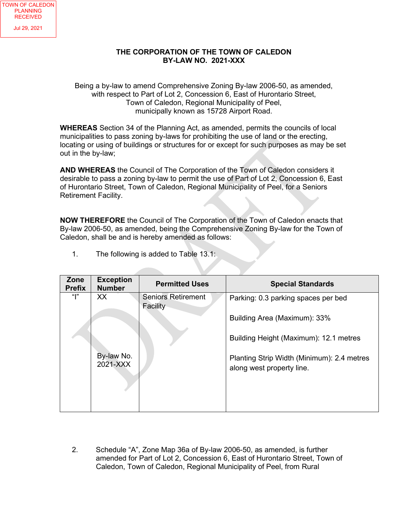## **THE CORPORATION OF THE TOWN OF CALEDON BY-LAW NO. 2021-XXX**

Being a by-law to amend Comprehensive Zoning By-law 2006-50, as amended, with respect to Part of Lot 2, Concession 6, East of Hurontario Street, Town of Caledon, Regional Municipality of Peel, municipally known as 15728 Airport Road.

**WHEREAS** Section 34 of the Planning Act, as amended, permits the councils of local municipalities to pass zoning by-laws for prohibiting the use of land or the erecting, locating or using of buildings or structures for or except for such purposes as may be set out in the by-law;

**AND WHEREAS** the Council of The Corporation of the Town of Caledon considers it desirable to pass a zoning by-law to permit the use of Part of Lot 2, Concession 6, East of Hurontario Street, Town of Caledon, Regional Municipality of Peel, for a Seniors Retirement Facility.

**NOW THEREFORE** the Council of The Corporation of the Town of Caledon enacts that By-law 2006-50, as amended, being the Comprehensive Zoning By-law for the Town of Caledon, shall be and is hereby amended as follows:

| Zone<br><b>Prefix</b> | <b>Exception</b><br><b>Number</b> | <b>Permitted Uses</b>                 | <b>Special Standards</b>                                                |
|-----------------------|-----------------------------------|---------------------------------------|-------------------------------------------------------------------------|
| ""                    | <b>XX</b>                         | <b>Seniors Retirement</b><br>Facility | Parking: 0.3 parking spaces per bed                                     |
|                       |                                   |                                       | Building Area (Maximum): 33%                                            |
|                       |                                   |                                       | Building Height (Maximum): 12.1 metres                                  |
|                       | By-law No.<br>2021-XXX            |                                       | Planting Strip Width (Minimum): 2.4 metres<br>along west property line. |
|                       |                                   |                                       |                                                                         |

1. The following is added to Table 13.1:

2. Schedule "A", Zone Map 36a of By-law 2006-50, as amended, is further amended for Part of Lot 2, Concession 6, East of Hurontario Street, Town of Caledon, Town of Caledon, Regional Municipality of Peel, from Rural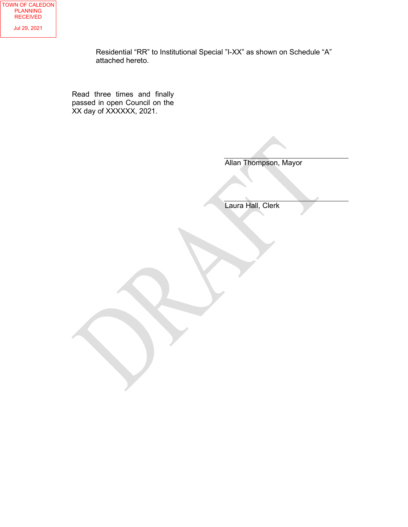Residential "RR" to Institutional Special "I-XX" as shown on Schedule "A" attached hereto.

Read three times and finally passed in open Council on the XX day of XXXXXX, 2021.

Allan Thompson, Mayor

Laura Hall, Clerk